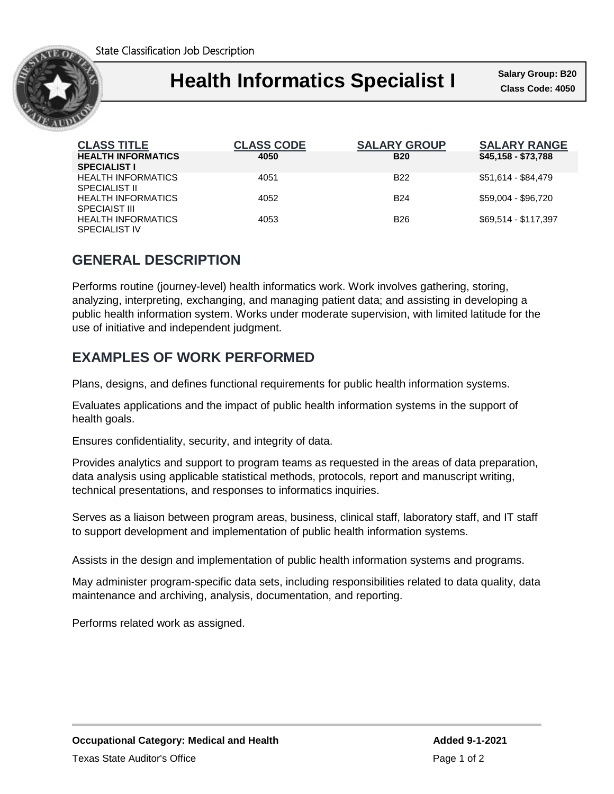State Classification Job Description



### ٦ **Health Informatics Specialist I** Salary Group: B20

**Salary Group: B20**

| <b>CLASS TITLE</b>                                | <b>CLASS CODE</b> | <b>SALARY GROUP</b> | <b>SALARY RANGE</b>  |
|---------------------------------------------------|-------------------|---------------------|----------------------|
| <b>HEALTH INFORMATICS</b><br><b>SPECIALIST I</b>  | 4050              | <b>B20</b>          | \$45,158 - \$73,788  |
| <b>HEALTH INFORMATICS</b><br><b>SPECIALIST II</b> | 4051              | B <sub>22</sub>     | \$51,614 - \$84,479  |
| <b>HEALTH INFORMATICS</b><br><b>SPECIAIST III</b> | 4052              | <b>B24</b>          | \$59.004 - \$96.720  |
| <b>HEALTH INFORMATICS</b><br><b>SPECIALIST IV</b> | 4053              | <b>B26</b>          | \$69.514 - \$117.397 |

## **GENERAL DESCRIPTION**

Performs routine (journey-level) health informatics work. Work involves gathering, storing, analyzing, interpreting, exchanging, and managing patient data; and assisting in developing a public health information system. Works under moderate supervision, with limited latitude for the use of initiative and independent judgment.

### **EXAMPLES OF WORK PERFORMED**

Plans, designs, and defines functional requirements for public health information systems.

Evaluates applications and the impact of public health information systems in the support of health goals.

Ensures confidentiality, security, and integrity of data.

Provides analytics and support to program teams as requested in the areas of data preparation, data analysis using applicable statistical methods, protocols, report and manuscript writing, technical presentations, and responses to informatics inquiries.

Serves as a liaison between program areas, business, clinical staff, laboratory staff, and IT staff to support development and implementation of public health information systems.

Assists in the design and implementation of public health information systems and programs.

May administer program-specific data sets, including responsibilities related to data quality, data maintenance and archiving, analysis, documentation, and reporting.

Performs related work as assigned.